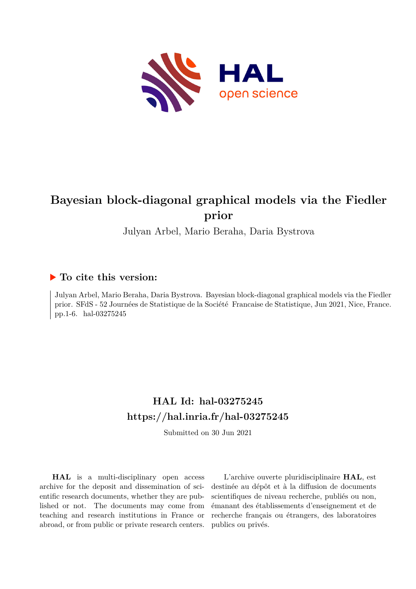

# **Bayesian block-diagonal graphical models via the Fiedler prior**

Julyan Arbel, Mario Beraha, Daria Bystrova

## **To cite this version:**

Julyan Arbel, Mario Beraha, Daria Bystrova. Bayesian block-diagonal graphical models via the Fiedler prior. SFdS - 52 Journées de Statistique de la Société Francaise de Statistique, Jun 2021, Nice, France. pp.1-6. hal-03275245

# **HAL Id: hal-03275245 <https://hal.inria.fr/hal-03275245>**

Submitted on 30 Jun 2021

**HAL** is a multi-disciplinary open access archive for the deposit and dissemination of scientific research documents, whether they are published or not. The documents may come from teaching and research institutions in France or abroad, or from public or private research centers.

L'archive ouverte pluridisciplinaire **HAL**, est destinée au dépôt et à la diffusion de documents scientifiques de niveau recherche, publiés ou non, émanant des établissements d'enseignement et de recherche français ou étrangers, des laboratoires publics ou privés.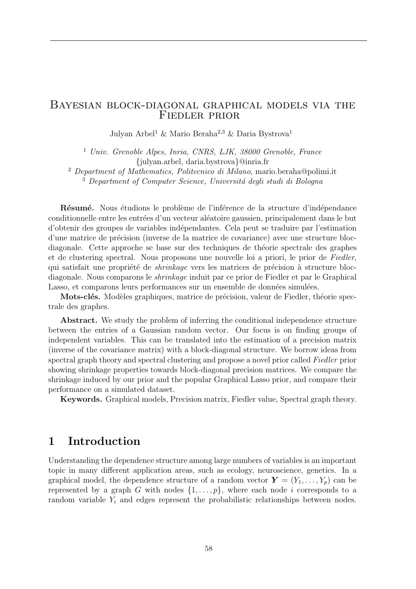#### Bayesian block-diagonal graphical models via the Fiedler prior

Julyan Arbel<sup>1</sup> & Mario Beraha<sup>2</sup>*,*<sup>3</sup> & Daria Bystrova<sup>1</sup>

<sup>1</sup> *Univ. Grenoble Alpes, Inria, CNRS, LJK, 38000 Grenoble, France {*julyan.arbel, daria.bystrova*}*@inria.fr

<sup>2</sup> *Department of Mathematics, Politecnico di Milano*, mario.beraha@polimi.it <sup>3</sup> Department of Computer Science, Universitá degli studi di Bologna

Résumé. Nous étudions le problème de l'inférence de la structure d'indépendance conditionnelle entre les entrées d'un vecteur aléatoire gaussien, principalement dans le but d'obtenir des groupes de variables ind´ependantes. Cela peut se traduire par l'estimation d'une matrice de précision (inverse de la matrice de covariance) avec une structure blocdiagonale. Cette approche se base sur des techniques de théorie spectrale des graphes et de clustering spectral. Nous proposons une nouvelle loi a priori, le prior de *Fiedler*, qui satisfait une propriété de *shrinkage* vers les matrices de précision à structure blocdiagonale. Nous comparons le *shrinkage* induit par ce prior de Fiedler et par le Graphical Lasso, et comparons leurs performances sur un ensemble de données simulées.

Mots-clés. Modèles graphiques, matrice de précision, valeur de Fiedler, théorie spectrale des graphes.

Abstract. We study the problem of inferring the conditional independence structure between the entries of a Gaussian random vector. Our focus is on finding groups of independent variables. This can be translated into the estimation of a precision matrix (inverse of the covariance matrix) with a block-diagonal structure. We borrow ideas from spectral graph theory and spectral clustering and propose a novel prior called *Fiedler* prior showing shrinkage properties towards block-diagonal precision matrices. We compare the shrinkage induced by our prior and the popular Graphical Lasso prior, and compare their performance on a simulated dataset.

Keywords. Graphical models, Precision matrix, Fiedler value, Spectral graph theory.

## 1 Introduction

Understanding the dependence structure among large numbers of variables is an important topic in many different application areas, such as ecology, neuroscience, genetics. In a graphical model, the dependence structure of a random vector  $\mathbf{Y} = (Y_1, \ldots, Y_p)$  can be represented by a graph *G* with nodes  $\{1, \ldots, p\}$ , where each node *i* corresponds to a random variable  $Y_i$  and edges represent the probabilistic relationships between nodes.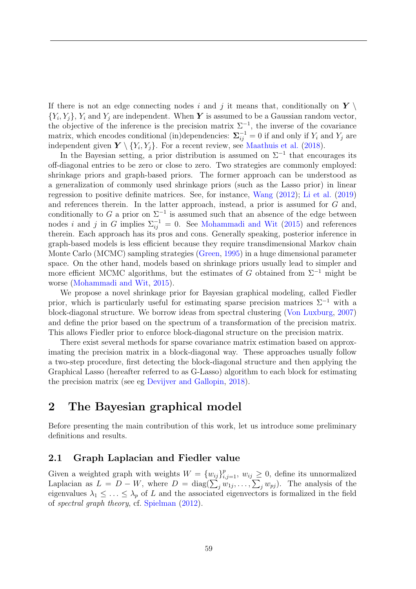If there is not an edge connecting nodes *i* and *j* it means that, conditionally on  $Y \setminus Y$  ${Y_i, Y_j}$ ,  ${Y_i}$  and  ${Y_j}$  are independent. When *Y* is assumed to be a Gaussian random vector, the objective of the inference is the precision matrix  $\Sigma^{-1}$ , the inverse of the covariance matrix, which encodes conditional (in)dependencies:  $\Sigma_{ij}^{-1} = 0$  if and only if  $Y_i$  and  $Y_j$  are independent given  $Y \setminus \{Y_i, Y_j\}$ . For a recent review, see Maathuis et al. (2018).

In the Bayesian setting, a prior distribution is assumed on  $\Sigma^{-1}$  that encourages its off-diagonal entries to be zero or close to zero. Two strategies are commonly employed: shrinkage priors and graph-based priors. The former approach can be understood as a generalization of commonly used shrinkage priors (such as the Lasso prior) in linear regression to positive definite matrices. See, for instance, Wang (2012); Li et al. (2019) and references therein. In the latter approach, instead, a prior is assumed for *G* and, conditionally to *G* a prior on  $\Sigma^{-1}$  is assumed such that an absence of the edge between nodes *i* and *j* in *G* implies  $\Sigma_{ij}^{-1} = 0$ . See Mohammadi and Wit (2015) and references therein. Each approach has its pros and cons. Generally speaking, posterior inference in graph-based models is less efficient because they require transdimensional Markov chain Monte Carlo (MCMC) sampling strategies (Green, 1995) in a huge dimensional parameter space. On the other hand, models based on shrinkage priors usually lead to simpler and more efficient MCMC algorithms, but the estimates of *G* obtained from Σ−<sup>1</sup> might be worse (Mohammadi and Wit, 2015).

We propose a novel shrinkage prior for Bayesian graphical modeling, called Fiedler prior, which is particularly useful for estimating sparse precision matrices  $\Sigma^{-1}$  with a block-diagonal structure. We borrow ideas from spectral clustering (Von Luxburg, 2007) and define the prior based on the spectrum of a transformation of the precision matrix. This allows Fiedler prior to enforce block-diagonal structure on the precision matrix.

There exist several methods for sparse covariance matrix estimation based on approximating the precision matrix in a block-diagonal way. These approaches usually follow a two-step procedure, first detecting the block-diagonal structure and then applying the Graphical Lasso (hereafter referred to as G-Lasso) algorithm to each block for estimating the precision matrix (see eg Devijver and Gallopin, 2018).

## 2 The Bayesian graphical model

Before presenting the main contribution of this work, let us introduce some preliminary definitions and results.

#### 2.1 Graph Laplacian and Fiedler value

Given a weighted graph with weights  $W = \{w_{ij}\}_{i,j=1}^p$ ,  $w_{ij} \geq 0$ , define its unnormalized Laplacian as  $L = D - W$ , where  $D = \text{diag}(\sum_{j} w_{1j}, \dots, \sum_{j} w_{pj})$ . The analysis of the eigenvalues  $\lambda_1 \leq \ldots \leq \lambda_p$  of *L* and the associated eigenvectors is formalized in the field of *spectral graph theory*, cf. Spielman (2012).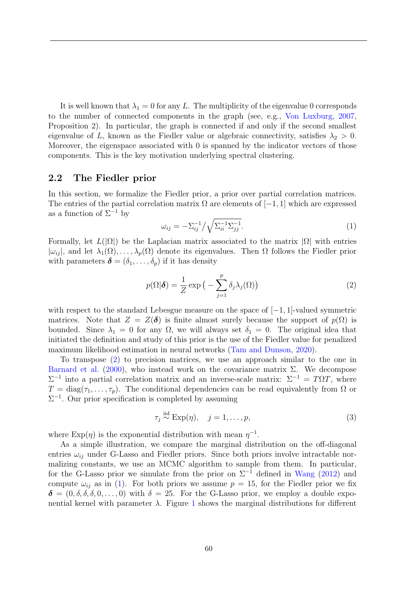It is well known that  $\lambda_1 = 0$  for any L. The multiplicity of the eigenvalue 0 corresponds to the number of connected components in the graph (see, e.g., Von Luxburg, 2007, Proposition 2). In particular, the graph is connected if and only if the second smallest eigenvalue of L, known as the Fiedler value or algebraic connectivity, satisfies  $\lambda_2 > 0$ . Moreover, the eigenspace associated with 0 is spanned by the indicator vectors of those components. This is the key motivation underlying spectral clustering.

#### 2.2 The Fiedler prior

In this section, we formalize the Fiedler prior, a prior over partial correlation matrices. The entries of the partial correlation matrix  $\Omega$  are elements of [−1, 1] which are expressed as a function of  $\Sigma^{-1}$  by

$$
\omega_{ij} = -\Sigma_{ij}^{-1} / \sqrt{\Sigma_{ii}^{-1} \Sigma_{jj}^{-1}}.
$$
\n(1)

Formally, let  $L(|\Omega|)$  be the Laplacian matrix associated to the matrix  $|\Omega|$  with entries  $|\omega_{ij}|$ , and let  $\lambda_1(\Omega), \ldots, \lambda_p(\Omega)$  denote its eigenvalues. Then  $\Omega$  follows the Fiedler prior with parameters  $\boldsymbol{\delta} = (\delta_1, \ldots, \delta_p)$  if it has density

$$
p(\Omega|\boldsymbol{\delta}) = \frac{1}{Z} \exp\big(-\sum_{j=1}^{p} \delta_j \lambda_j(\Omega)\big) \tag{2}
$$

with respect to the standard Lebesgue measure on the space of [−1*,* 1]-valued symmetric matrices. Note that  $Z = Z(\delta)$  is finite almost surely because the support of  $p(\Omega)$  is bounded. Since  $\lambda_1 = 0$  for any  $\Omega$ , we will always set  $\delta_1 = 0$ . The original idea that initiated the definition and study of this prior is the use of the Fiedler value for penalized maximum likelihood estimation in neural networks (Tam and Dunson, 2020).

To transpose (2) to precision matrices, we use an approach similar to the one in Barnard et al. (2000), who instead work on the covariance matrix  $\Sigma$ . We decompose  $\Sigma^{-1}$  into a partial correlation matrix and an inverse-scale matrix:  $\Sigma^{-1} = T\Omega T$ , where  $T = diag(\tau_1, \ldots, \tau_p)$ . The conditional dependencies can be read equivalently from  $\Omega$  or  $\Sigma^{-1}$ . Our prior specification is completed by assuming

$$
\tau_j \stackrel{\text{iid}}{\sim} \text{Exp}(\eta), \quad j = 1, \dots, p,\tag{3}
$$

where  $\text{Exp}(\eta)$  is the exponential distribution with mean  $\eta^{-1}$ .

As a simple illustration, we compare the marginal distribution on the off-diagonal entries  $\omega_{ij}$  under G-Lasso and Fiedler priors. Since both priors involve intractable normalizing constants, we use an MCMC algorithm to sample from them. In particular, for the G-Lasso prior we simulate from the prior on  $\Sigma^{-1}$  defined in Wang (2012) and compute  $\omega_{ij}$  as in (1). For both priors we assume  $p = 15$ , for the Fiedler prior we fix  $\delta = (0, \delta, \delta, \delta, 0, \ldots, 0)$  with  $\delta = 25$ . For the G-Lasso prior, we employ a double exponential kernel with parameter  $\lambda$ . Figure 1 shows the marginal distributions for different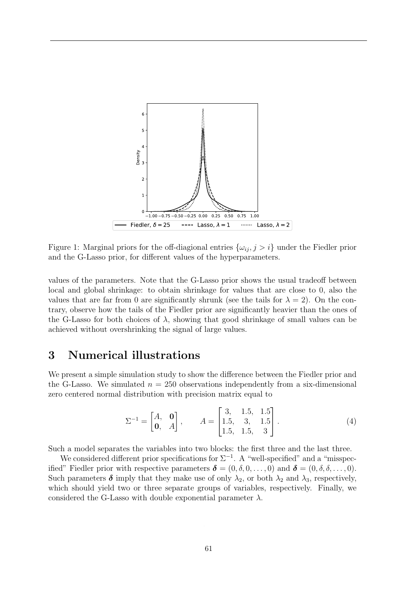

Figure 1: Marginal priors for the off-diagional entries  $\{\omega_{ij}, j > i\}$  under the Fiedler prior and the G-Lasso prior, for different values of the hyperparameters.

values of the parameters. Note that the G-Lasso prior shows the usual tradeoff between local and global shrinkage: to obtain shrinkage for values that are close to 0, also the values that are far from 0 are significantly shrunk (see the tails for  $\lambda = 2$ ). On the contrary, observe how the tails of the Fiedler prior are significantly heavier than the ones of the G-Lasso for both choices of  $\lambda$ , showing that good shrinkage of small values can be achieved without overshrinking the signal of large values.

### 3 Numerical illustrations

We present a simple simulation study to show the difference between the Fiedler prior and the G-Lasso. We simulated  $n = 250$  observations independently from a six-dimensional zero centered normal distribution with precision matrix equal to

$$
\Sigma^{-1} = \begin{bmatrix} A, & \mathbf{0} \\ \mathbf{0}, & A \end{bmatrix}, \qquad A = \begin{bmatrix} 3, & 1.5, & 1.5 \\ 1.5, & 3, & 1.5 \\ 1.5, & 1.5, & 3 \end{bmatrix} . \tag{4}
$$

Such a model separates the variables into two blocks: the first three and the last three.

We considered different prior specifications for  $\Sigma^{-1}$ . A "well-specified" and a "misspecified" Fiedler prior with respective parameters  $\boldsymbol{\delta} = (0, \delta, 0, \ldots, 0)$  and  $\boldsymbol{\delta} = (0, \delta, \delta, \ldots, 0)$ . Such parameters  $\delta$  imply that they make use of only  $\lambda_2$ , or both  $\lambda_2$  and  $\lambda_3$ , respectively, which should yield two or three separate groups of variables, respectively. Finally, we considered the G-Lasso with double exponential parameter  $\lambda$ .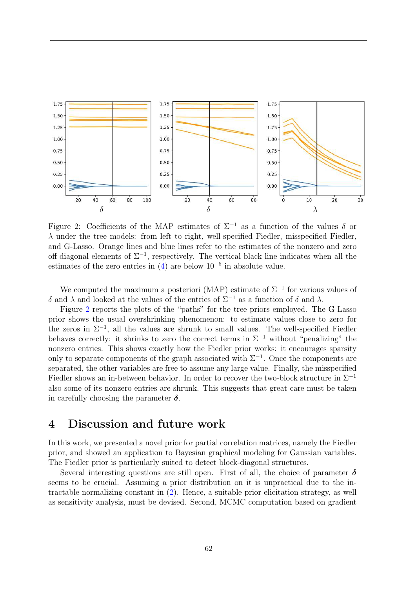

Figure 2: Coefficients of the MAP estimates of  $\Sigma^{-1}$  as a function of the values  $\delta$  or  $\lambda$  under the tree models: from left to right, well-specified Fiedler, misspecified Fiedler, and G-Lasso. Orange lines and blue lines refer to the estimates of the nonzero and zero off-diagonal elements of  $\Sigma^{-1}$ , respectively. The vertical black line indicates when all the estimates of the zero entries in  $(4)$  are below  $10^{-5}$  in absolute value.

We computed the maximum a posteriori (MAP) estimate of  $\Sigma^{-1}$  for various values of δ and  $\lambda$  and looked at the values of the entries of  $\Sigma^{-1}$  as a function of δ and  $\lambda$ .

Figure 2 reports the plots of the "paths" for the tree priors employed. The G-Lasso prior shows the usual overshrinking phenomenon: to estimate values close to zero for the zeros in  $\Sigma^{-1}$ , all the values are shrunk to small values. The well-specified Fiedler behaves correctly: it shrinks to zero the correct terms in  $\Sigma^{-1}$  without "penalizing" the nonzero entries. This shows exactly how the Fiedler prior works: it encourages sparsity only to separate components of the graph associated with  $\Sigma^{-1}$ . Once the components are separated, the other variables are free to assume any large value. Finally, the misspecified Fiedler shows an in-between behavior. In order to recover the two-block structure in  $\Sigma^{-1}$ also some of its nonzero entries are shrunk. This suggests that great care must be taken in carefully choosing the parameter  $\delta$ .

### 4 Discussion and future work

In this work, we presented a novel prior for partial correlation matrices, namely the Fiedler prior, and showed an application to Bayesian graphical modeling for Gaussian variables. The Fiedler prior is particularly suited to detect block-diagonal structures.

Several interesting questions are still open. First of all, the choice of parameter  $\delta$ seems to be crucial. Assuming a prior distribution on it is unpractical due to the intractable normalizing constant in (2). Hence, a suitable prior elicitation strategy, as well as sensitivity analysis, must be devised. Second, MCMC computation based on gradient